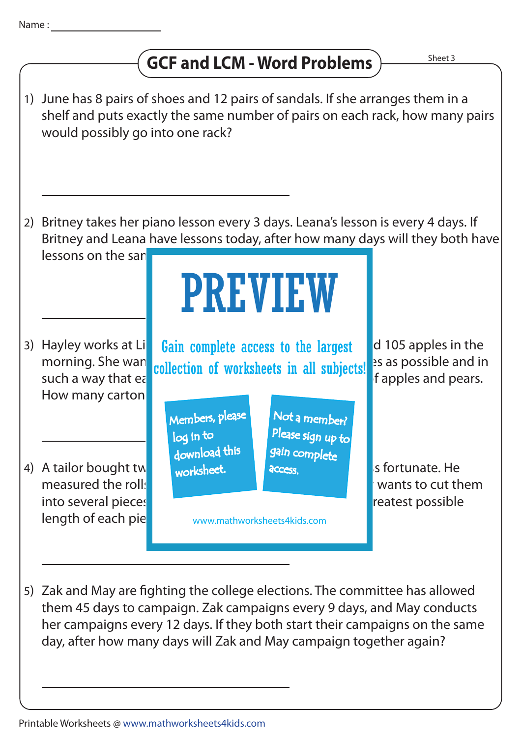## **GCF and LCM - Word Problems**



5) Zak and May are fighting the college elections. The committee has allowed them 45 days to campaign. Zak campaigns every 9 days, and May conducts her campaigns every 12 days. If they both start their campaigns on the same day, after how many days will Zak and May campaign together again?